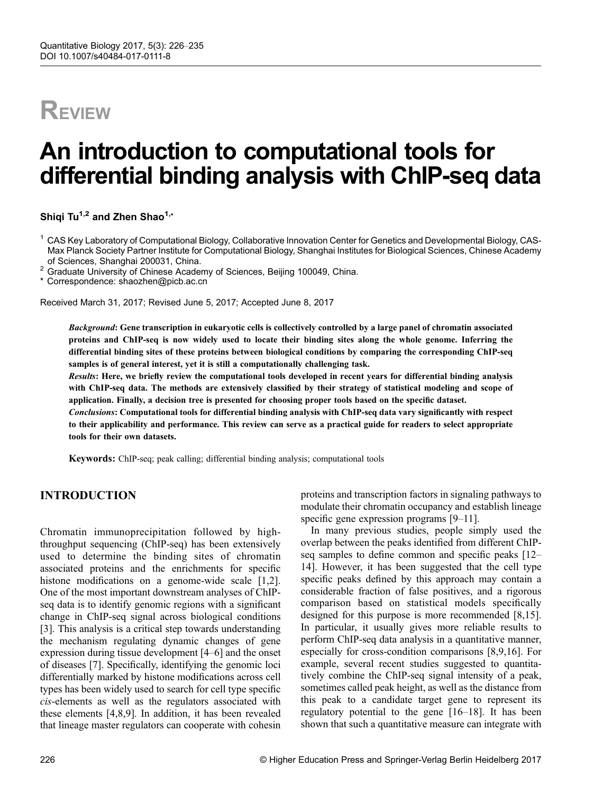# **REVIEW**

# An introduction to computational tools for differential binding analysis with ChIP-seq data

Shiqi Tu<sup>1,2</sup> and Zhen Shao<sup>1,\*</sup>

<sup>1</sup> CAS Key Laboratory of Computational Biology, Collaborative Innovation Center for Genetics and Developmental Biology, CAS-Max Planck Society Partner Institute for Computational Biology, Shanghai Institutes for Biological Sciences, Chinese Academy

<sup>2</sup> Graduate University of Chinese Academy of Sciences, Beijing 100049, China.

\* Correspondence: shaozhen@picb.ac.cn

Received March 31, 2017; Revised June 5, 2017; Accepted June 8, 2017

Background: Gene transcription in eukaryotic cells is collectively controlled by a large panel of chromatin associated proteins and ChIP-seq is now widely used to locate their binding sites along the whole genome. Inferring the differential binding sites of these proteins between biological conditions by comparing the corresponding ChIP-seq samples is of general interest, yet it is still a computationally challenging task.

Results: Here, we briefly review the computational tools developed in recent years for differential binding analysis with ChIP-seq data. The methods are extensively classified by their strategy of statistical modeling and scope of application. Finally, a decision tree is presented for choosing proper tools based on the specific dataset.

Conclusions: Computational tools for differential binding analysis with ChIP-seq data vary significantly with respect to their applicability and performance. This review can serve as a practical guide for readers to select appropriate tools for their own datasets.

Keywords: ChIP-seq; peak calling; differential binding analysis; computational tools

## INTRODUCTION

Chromatin immunoprecipitation followed by highthroughput sequencing (ChIP-seq) has been extensively used to determine the binding sites of chromatin associated proteins and the enrichments for specific histone modifications on a genome-wide scale [[1,2\]](#page-7-0). One of the most important downstream analyses of ChIPseq data is to identify genomic regions with a significant change in ChIP-seq signal across biological conditions [\[3](#page-7-0)]. This analysis is a critical step towards understanding the mechanism regulating dynamic changes of gene expression during tissue development [[4](#page-7-0)–[6](#page-7-0)] and the onset of diseases [[7\]](#page-7-0). Specifically, identifying the genomic loci differentially marked by histone modifications across cell types has been widely used to search for cell type specific cis-elements as well as the regulators associated with these elements [[4,8,9\]](#page-7-0). In addition, it has been revealed that lineage master regulators can cooperate with cohesin proteins and transcription factors in signaling pathways to modulate their chromatin occupancy and establish lineage specific gene expression programs [\[9](#page-7-0)–[11\]](#page-8-0).

In many previous studies, people simply used the overlap between the peaks identified from different ChIPseq samples to define common and specific peaks [\[12](#page-8-0)– [14](#page-8-0)]. However, it has been suggested that the cell type specific peaks defined by this approach may contain a considerable fraction of false positives, and a rigorous comparison based on statistical models specifically designed for this purpose is more recommended [\[8](#page-7-0)[,15\]](#page-8-0). In particular, it usually gives more reliable results to perform ChIP-seq data analysis in a quantitative manner, especially for cross-condition comparisons [[8,9,](#page-7-0)[16\]](#page-8-0). For example, several recent studies suggested to quantitatively combine the ChIP-seq signal intensity of a peak, sometimes called peak height, as well as the distance from this peak to a candidate target gene to represent its regulatory potential to the gene [\[16](#page-8-0)–[18\]](#page-8-0). It has been shown that such a quantitative measure can integrate with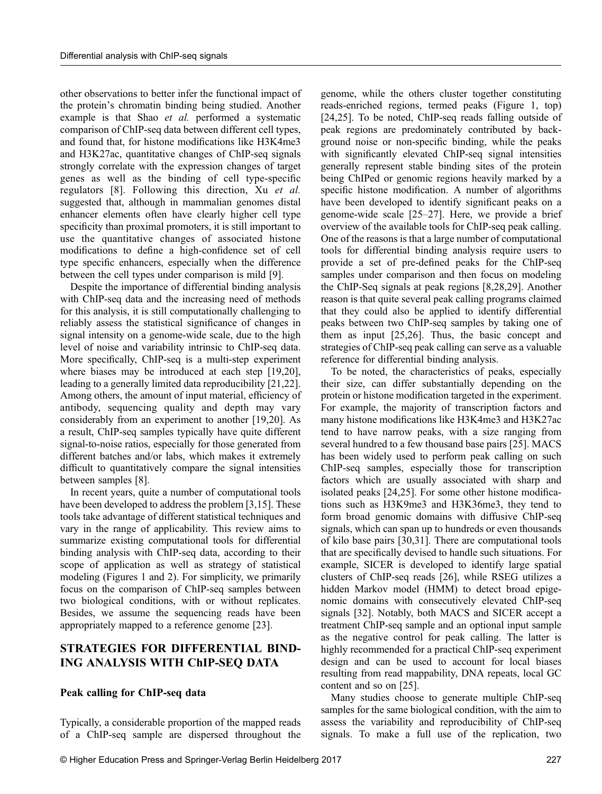other observations to better infer the functional impact of the protein's chromatin binding being studied. Another example is that Shao et al. performed a systematic comparison of ChIP-seq data between different cell types, and found that, for histone modifications like H3K4me3 and H3K27ac, quantitative changes of ChIP-seq signals strongly correlate with the expression changes of target genes as well as the binding of cell type-specific regulators [[8](#page-7-0)]. Following this direction, Xu et al. suggested that, although in mammalian genomes distal enhancer elements often have clearly higher cell type specificity than proximal promoters, it is still important to use the quantitative changes of associated histone modifications to define a high-confidence set of cell type specific enhancers, especially when the difference between the cell types under comparison is mild [[9\]](#page-7-0).

Despite the importance of differential binding analysis with ChIP-seq data and the increasing need of methods for this analysis, it is still computationally challenging to reliably assess the statistical significance of changes in signal intensity on a genome-wide scale, due to the high level of noise and variability intrinsic to ChIP-seq data. More specifically, ChIP-seq is a multi-step experiment where biases may be introduced at each step [\[19,20\]](#page-8-0), leading to a generally limited data reproducibility [\[21,22\]](#page-8-0). Among others, the amount of input material, efficiency of antibody, sequencing quality and depth may vary considerably from an experiment to another [[19,20](#page-8-0)]. As a result, ChIP-seq samples typically have quite different signal-to-noise ratios, especially for those generated from different batches and/or labs, which makes it extremely difficult to quantitatively compare the signal intensities between samples [[8](#page-7-0)].

In recent years, quite a number of computational tools have been developed to address the problem [\[3,](#page-7-0)[15\]](#page-8-0). These tools take advantage of different statistical techniques and vary in the range of applicability. This review aims to summarize existing computational tools for differential binding analysis with ChIP-seq data, according to their scope of application as well as strategy of statistical modeling (Figures 1 and 2). For simplicity, we primarily focus on the comparison of ChIP-seq samples between two biological conditions, with or without replicates. Besides, we assume the sequencing reads have been appropriately mapped to a reference genome [\[23\]](#page-8-0).

## STRATEGIES FOR DIFFERENTIAL BIND-ING ANALYSIS WITH ChIP-SEQ DATA

#### Peak calling for ChIP-seq data

Typically, a considerable proportion of the mapped reads of a ChIP-seq sample are dispersed throughout the genome, while the others cluster together constituting reads-enriched regions, termed peaks (Figure 1, top) [[24](#page-8-0),[25](#page-8-0)]. To be noted, ChIP-seq reads falling outside of peak regions are predominately contributed by background noise or non-specific binding, while the peaks with significantly elevated ChIP-seq signal intensities generally represent stable binding sites of the protein being ChIPed or genomic regions heavily marked by a specific histone modification. A number of algorithms have been developed to identify significant peaks on a genome-wide scale [[25](#page-8-0)–[27](#page-8-0)]. Here, we provide a brief overview of the available tools for ChIP-seq peak calling. One of the reasons is that a large number of computational tools for differential binding analysis require users to provide a set of pre-defined peaks for the ChIP-seq samples under comparison and then focus on modeling the ChIP-Seq signals at peak regions [[8](#page-7-0),[28](#page-8-0),[29](#page-8-0)]. Another reason is that quite several peak calling programs claimed that they could also be applied to identify differential peaks between two ChIP-seq samples by taking one of them as input [\[25,26\]](#page-8-0). Thus, the basic concept and strategies of ChIP-seq peak calling can serve as a valuable reference for differential binding analysis.

To be noted, the characteristics of peaks, especially their size, can differ substantially depending on the protein or histone modification targeted in the experiment. For example, the majority of transcription factors and many histone modifications like H3K4me3 and H3K27ac tend to have narrow peaks, with a size ranging from several hundred to a few thousand base pairs [\[25\]](#page-8-0). MACS has been widely used to perform peak calling on such ChIP-seq samples, especially those for transcription factors which are usually associated with sharp and isolated peaks [\[24,25\]](#page-8-0). For some other histone modifications such as H3K9me3 and H3K36me3, they tend to form broad genomic domains with diffusive ChIP-seq signals, which can span up to hundreds or even thousands of kilo base pairs [\[30,31\]](#page-8-0). There are computational tools that are specifically devised to handle such situations. For example, SICER is developed to identify large spatial clusters of ChIP-seq reads [\[26\]](#page-8-0), while RSEG utilizes a hidden Markov model (HMM) to detect broad epigenomic domains with consecutively elevated ChIP-seq signals [\[32\]](#page-8-0). Notably, both MACS and SICER accept a treatment ChIP-seq sample and an optional input sample as the negative control for peak calling. The latter is highly recommended for a practical ChIP-seq experiment design and can be used to account for local biases resulting from read mappability, DNA repeats, local GC content and so on [[25](#page-8-0)].

Many studies choose to generate multiple ChIP-seq samples for the same biological condition, with the aim to assess the variability and reproducibility of ChIP-seq signals. To make a full use of the replication, two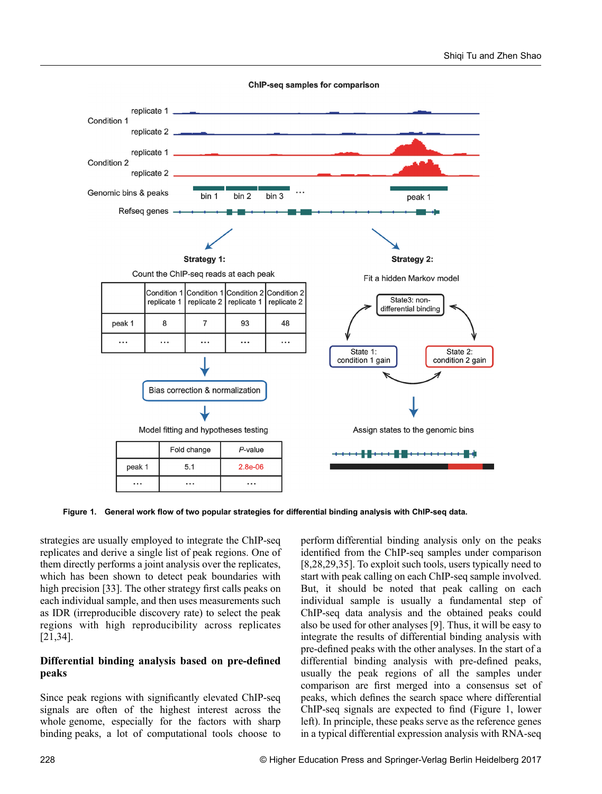

**ChIP-seq samples for comparison** 

Figure 1. General work flow of two popular strategies for differential binding analysis with ChIP-seq data.

strategies are usually employed to integrate the ChIP-seq replicates and derive a single list of peak regions. One of them directly performs a joint analysis over the replicates, which has been shown to detect peak boundaries with high precision [[33](#page-8-0)]. The other strategy first calls peaks on each individual sample, and then uses measurements such as IDR (irreproducible discovery rate) to select the peak regions with high reproducibility across replicates [\[21,34\]](#page-8-0).

#### Differential binding analysis based on pre-defined peaks

Since peak regions with significantly elevated ChIP-seq signals are often of the highest interest across the whole genome, especially for the factors with sharp binding peaks, a lot of computational tools choose to

perform differential binding analysis only on the peaks identified from the ChIP-seq samples under comparison [[8](#page-7-0),[28](#page-8-0),[29](#page-8-0),[35](#page-8-0)]. To exploit such tools, users typically need to start with peak calling on each ChIP-seq sample involved. But, it should be noted that peak calling on each individual sample is usually a fundamental step of ChIP-seq data analysis and the obtained peaks could also be used for other analyses [[9](#page-7-0)]. Thus, it will be easy to integrate the results of differential binding analysis with pre-defined peaks with the other analyses. In the start of a differential binding analysis with pre-defined peaks, usually the peak regions of all the samples under comparison are first merged into a consensus set of peaks, which defines the search space where differential ChIP-seq signals are expected to find (Figure 1, lower left). In principle, these peaks serve as the reference genes in a typical differential expression analysis with RNA-seq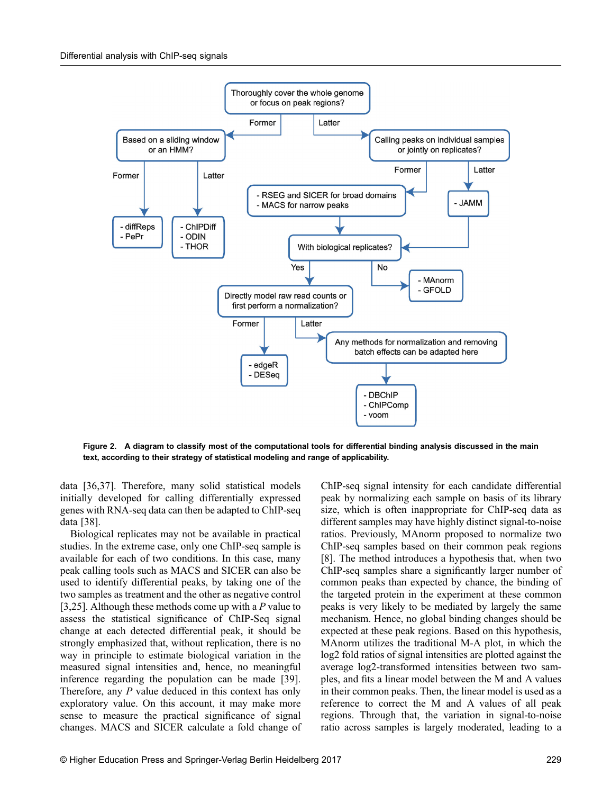

Figure 2. A diagram to classify most of the computational tools for differential binding analysis discussed in the main text, according to their strategy of statistical modeling and range of applicability.

data [[36](#page-8-0),[37](#page-8-0)]. Therefore, many solid statistical models initially developed for calling differentially expressed genes with RNA-seq data can then be adapted to ChIP-seq data [\[38\]](#page-8-0).

Biological replicates may not be available in practical studies. In the extreme case, only one ChIP-seq sample is available for each of two conditions. In this case, many peak calling tools such as MACS and SICER can also be used to identify differential peaks, by taking one of the two samples as treatment and the other as negative control [[3](#page-7-0),[25](#page-8-0)]. Although these methods come up with a  $P$  value to assess the statistical significance of ChIP-Seq signal change at each detected differential peak, it should be strongly emphasized that, without replication, there is no way in principle to estimate biological variation in the measured signal intensities and, hence, no meaningful inference regarding the population can be made [\[39\]](#page-9-0). Therefore, any P value deduced in this context has only exploratory value. On this account, it may make more sense to measure the practical significance of signal changes. MACS and SICER calculate a fold change of ChIP-seq signal intensity for each candidate differential peak by normalizing each sample on basis of its library size, which is often inappropriate for ChIP-seq data as different samples may have highly distinct signal-to-noise ratios. Previously, MAnorm proposed to normalize two ChIP-seq samples based on their common peak regions [[8](#page-7-0)]. The method introduces a hypothesis that, when two ChIP-seq samples share a significantly larger number of common peaks than expected by chance, the binding of the targeted protein in the experiment at these common peaks is very likely to be mediated by largely the same mechanism. Hence, no global binding changes should be expected at these peak regions. Based on this hypothesis, MAnorm utilizes the traditional M-A plot, in which the log2 fold ratios of signal intensities are plotted against the average log2-transformed intensities between two samples, and fits a linear model between the M and A values in their common peaks. Then, the linear model is used as a reference to correct the M and A values of all peak regions. Through that, the variation in signal-to-noise ratio across samples is largely moderated, leading to a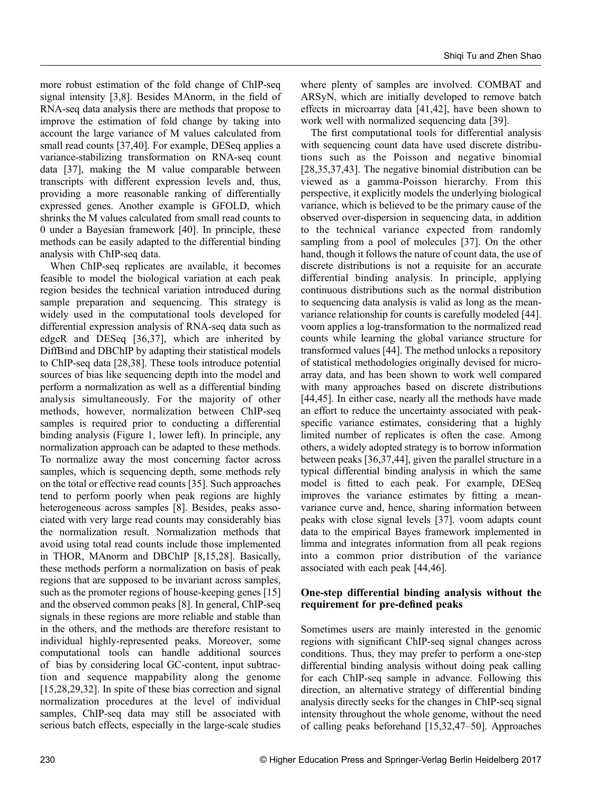more robust estimation of the fold change of ChIP-seq signal intensity [[3](#page-7-0),[8\]](#page-7-0). Besides MAnorm, in the field of RNA-seq data analysis there are methods that propose to improve the estimation of fold change by taking into account the large variance of M values calculated from small read counts [[37](#page-8-0),[40](#page-9-0)]. For example, DESeq applies a variance-stabilizing transformation on RNA-seq count data [\[37\]](#page-8-0), making the M value comparable between transcripts with different expression levels and, thus, providing a more reasonable ranking of differentially expressed genes. Another example is GFOLD, which shrinks the M values calculated from small read counts to 0 under a Bayesian framework [\[40](#page-9-0)]. In principle, these methods can be easily adapted to the differential binding analysis with ChIP-seq data.

When ChIP-seq replicates are available, it becomes feasible to model the biological variation at each peak region besides the technical variation introduced during sample preparation and sequencing. This strategy is widely used in the computational tools developed for differential expression analysis of RNA-seq data such as edgeR and DESeq [[36,37\]](#page-8-0), which are inherited by DiffBind and DBChIP by adapting their statistical models to ChIP-seq data [\[28,38\]](#page-8-0). These tools introduce potential sources of bias like sequencing depth into the model and perform a normalization as well as a differential binding analysis simultaneously. For the majority of other methods, however, normalization between ChIP-seq samples is required prior to conducting a differential binding analysis (Figure 1, lower left). In principle, any normalization approach can be adapted to these methods. To normalize away the most concerning factor across samples, which is sequencing depth, some methods rely on the total or effective read counts [\[35\]](#page-8-0). Such approaches tend to perform poorly when peak regions are highly heterogeneous across samples [\[8\]](#page-7-0). Besides, peaks associated with very large read counts may considerably bias the normalization result. Normalization methods that avoid using total read counts include those implemented in THOR, MAnorm and DBChIP [\[8,](#page-7-0)[15,28\]](#page-8-0). Basically, these methods perform a normalization on basis of peak regions that are supposed to be invariant across samples, such as the promoter regions of house-keeping genes [[15](#page-8-0)] and the observed common peaks [[8\]](#page-7-0). In general, ChIP-seq signals in these regions are more reliable and stable than in the others, and the methods are therefore resistant to individual highly-represented peaks. Moreover, some computational tools can handle additional sources of bias by considering local GC-content, input subtraction and sequence mappability along the genome [\[15,28,29,32\]](#page-8-0). In spite of these bias correction and signal normalization procedures at the level of individual samples, ChIP-seq data may still be associated with serious batch effects, especially in the large-scale studies

where plenty of samples are involved. COMBAT and ARSyN, which are initially developed to remove batch effects in microarray data [\[41,42\]](#page-9-0), have been shown to work well with normalized sequencing data [[39](#page-9-0)].

The first computational tools for differential analysis with sequencing count data have used discrete distributions such as the Poisson and negative binomial [\[28,35,37,](#page-8-0)[43\]](#page-9-0). The negative binomial distribution can be viewed as a gamma-Poisson hierarchy. From this perspective, it explicitly models the underlying biological variance, which is believed to be the primary cause of the observed over-dispersion in sequencing data, in addition to the technical variance expected from randomly sampling from a pool of molecules [\[37\]](#page-8-0). On the other hand, though it follows the nature of count data, the use of discrete distributions is not a requisite for an accurate differential binding analysis. In principle, applying continuous distributions such as the normal distribution to sequencing data analysis is valid as long as the meanvariance relationship for counts is carefully modeled [\[44\]](#page-9-0). voom applies a log-transformation to the normalized read counts while learning the global variance structure for transformed values [[44](#page-9-0)]. The method unlocks a repository of statistical methodologies originally devised for microarray data, and has been shown to work well compared with many approaches based on discrete distributions [\[44,45\]](#page-9-0). In either case, nearly all the methods have made an effort to reduce the uncertainty associated with peakspecific variance estimates, considering that a highly limited number of replicates is often the case. Among others, a widely adopted strategy is to borrow information between peaks [[36](#page-8-0),[37](#page-8-0)[,44](#page-9-0)], given the parallel structure in a typical differential binding analysis in which the same model is fitted to each peak. For example, DESeq improves the variance estimates by fitting a meanvariance curve and, hence, sharing information between peaks with close signal levels [[37](#page-8-0)]. voom adapts count data to the empirical Bayes framework implemented in limma and integrates information from all peak regions into a common prior distribution of the variance associated with each peak [[44](#page-9-0),[46](#page-9-0)].

### One-step differential binding analysis without the requirement for pre-defined peaks

Sometimes users are mainly interested in the genomic regions with significant ChIP-seq signal changes across conditions. Thus, they may prefer to perform a one-step differential binding analysis without doing peak calling for each ChIP-seq sample in advance. Following this direction, an alternative strategy of differential binding analysis directly seeks for the changes in ChIP-seq signal intensity throughout the whole genome, without the need of calling peaks beforehand [[15,32](#page-8-0)[,47](#page-9-0)–[50](#page-9-0)]. Approaches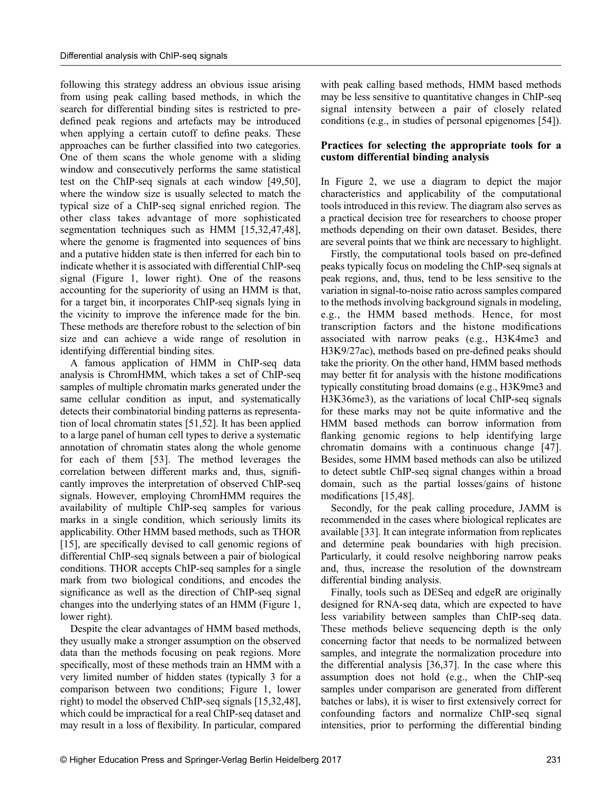following this strategy address an obvious issue arising from using peak calling based methods, in which the search for differential binding sites is restricted to predefined peak regions and artefacts may be introduced when applying a certain cutoff to define peaks. These approaches can be further classified into two categories. One of them scans the whole genome with a sliding window and consecutively performs the same statistical test on the ChIP-seq signals at each window [\[49,50\]](#page-9-0), where the window size is usually selected to match the typical size of a ChIP-seq signal enriched region. The other class takes advantage of more sophisticated segmentation techniques such as HMM [[15,32,](#page-8-0)[47,48\]](#page-9-0), where the genome is fragmented into sequences of bins and a putative hidden state is then inferred for each bin to indicate whether it is associated with differential ChIP-seq signal (Figure 1, lower right). One of the reasons accounting for the superiority of using an HMM is that, for a target bin, it incorporates ChIP-seq signals lying in the vicinity to improve the inference made for the bin. These methods are therefore robust to the selection of bin size and can achieve a wide range of resolution in identifying differential binding sites.

A famous application of HMM in ChIP-seq data analysis is ChromHMM, which takes a set of ChIP-seq samples of multiple chromatin marks generated under the same cellular condition as input, and systematically detects their combinatorial binding patterns as representation of local chromatin states [[51](#page-9-0),[52](#page-9-0)]. It has been applied to a large panel of human cell types to derive a systematic annotation of chromatin states along the whole genome for each of them [[53\]](#page-9-0). The method leverages the correlation between different marks and, thus, significantly improves the interpretation of observed ChIP-seq signals. However, employing ChromHMM requires the availability of multiple ChIP-seq samples for various marks in a single condition, which seriously limits its applicability. Other HMM based methods, such as THOR [[15](#page-8-0)], are specifically devised to call genomic regions of differential ChIP-seq signals between a pair of biological conditions. THOR accepts ChIP-seq samples for a single mark from two biological conditions, and encodes the significance as well as the direction of ChIP-seq signal changes into the underlying states of an HMM (Figure 1, lower right).

Despite the clear advantages of HMM based methods, they usually make a stronger assumption on the observed data than the methods focusing on peak regions. More specifically, most of these methods train an HMM with a very limited number of hidden states (typically 3 for a comparison between two conditions; Figure 1, lower right) to model the observed ChIP-seq signals [\[15,32,](#page-8-0)[48\]](#page-9-0), which could be impractical for a real ChIP-seq dataset and may result in a loss of flexibility. In particular, compared

with peak calling based methods, HMM based methods may be less sensitive to quantitative changes in ChIP-seq signal intensity between a pair of closely related conditions (e.g., in studies of personal epigenomes [[54](#page-9-0)]).

#### Practices for selecting the appropriate tools for a custom differential binding analysis

In Figure 2, we use a diagram to depict the major characteristics and applicability of the computational tools introduced in this review. The diagram also serves as a practical decision tree for researchers to choose proper methods depending on their own dataset. Besides, there are several points that we think are necessary to highlight.

Firstly, the computational tools based on pre-defined peaks typically focus on modeling the ChIP-seq signals at peak regions, and, thus, tend to be less sensitive to the variation in signal-to-noise ratio across samples compared to the methods involving background signals in modeling, e.g., the HMM based methods. Hence, for most transcription factors and the histone modifications associated with narrow peaks (e.g., H3K4me3 and H3K9/27ac), methods based on pre-defined peaks should take the priority. On the other hand, HMM based methods may better fit for analysis with the histone modifications typically constituting broad domains (e.g., H3K9me3 and H3K36me3), as the variations of local ChIP-seq signals for these marks may not be quite informative and the HMM based methods can borrow information from flanking genomic regions to help identifying large chromatin domains with a continuous change [[47\]](#page-9-0). Besides, some HMM based methods can also be utilized to detect subtle ChIP-seq signal changes within a broad domain, such as the partial losses/gains of histone modifications [\[15](#page-8-0)[,48\]](#page-9-0).

Secondly, for the peak calling procedure, JAMM is recommended in the cases where biological replicates are available [\[33\]](#page-8-0). It can integrate information from replicates and determine peak boundaries with high precision. Particularly, it could resolve neighboring narrow peaks and, thus, increase the resolution of the downstream differential binding analysis.

Finally, tools such as DESeq and edgeR are originally designed for RNA-seq data, which are expected to have less variability between samples than ChIP-seq data. These methods believe sequencing depth is the only concerning factor that needs to be normalized between samples, and integrate the normalization procedure into the differential analysis [\[36,37\]](#page-8-0). In the case where this assumption does not hold (e.g., when the ChIP-seq samples under comparison are generated from different batches or labs), it is wiser to first extensively correct for confounding factors and normalize ChIP-seq signal intensities, prior to performing the differential binding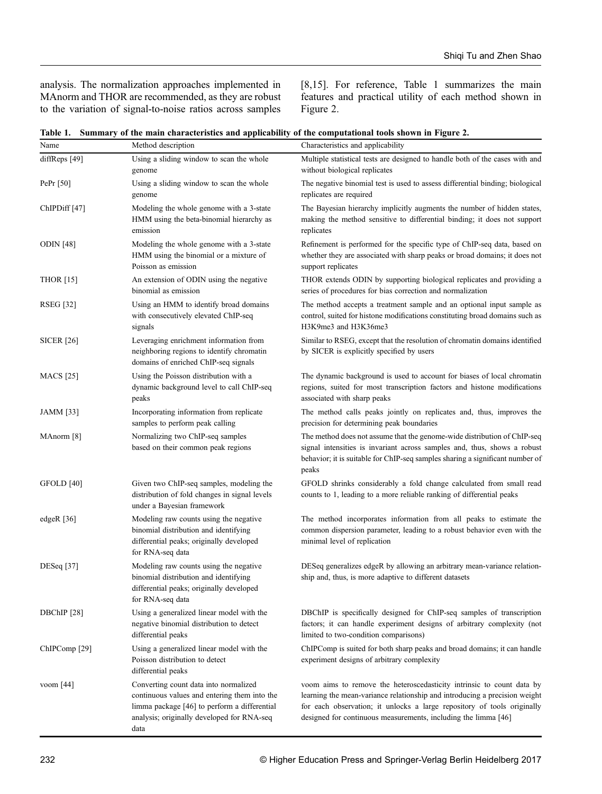analysis. The normalization approaches implemented in MAnorm and THOR are recommended, as they are robust to the variation of signal-to-noise ratios across samples [\[8](#page-7-0),[15](#page-8-0)]. For reference, Table 1 summarizes the main features and practical utility of each method shown in Figure 2.

|  |  |  |  |  | Table 1. Summary of the main characteristics and applicability of the computational tools shown in Figure 2. |
|--|--|--|--|--|--------------------------------------------------------------------------------------------------------------|
|--|--|--|--|--|--------------------------------------------------------------------------------------------------------------|

| Name                     | Method description                                                                                                                                                                          | Characteristics and applicability                                                                                                                                                                                                                                                                |
|--------------------------|---------------------------------------------------------------------------------------------------------------------------------------------------------------------------------------------|--------------------------------------------------------------------------------------------------------------------------------------------------------------------------------------------------------------------------------------------------------------------------------------------------|
| diffReps [49]            | Using a sliding window to scan the whole<br>genome                                                                                                                                          | Multiple statistical tests are designed to handle both of the cases with and<br>without biological replicates                                                                                                                                                                                    |
| PePr [50]                | Using a sliding window to scan the whole<br>genome                                                                                                                                          | The negative binomial test is used to assess differential binding; biological<br>replicates are required                                                                                                                                                                                         |
| ChIPDiff <sup>[47]</sup> | Modeling the whole genome with a 3-state<br>HMM using the beta-binomial hierarchy as<br>emission                                                                                            | The Bayesian hierarchy implicitly augments the number of hidden states,<br>making the method sensitive to differential binding; it does not support<br>replicates                                                                                                                                |
| <b>ODIN</b> [48]         | Modeling the whole genome with a 3-state<br>HMM using the binomial or a mixture of<br>Poisson as emission                                                                                   | Refinement is performed for the specific type of ChIP-seq data, based on<br>whether they are associated with sharp peaks or broad domains; it does not<br>support replicates                                                                                                                     |
| <b>THOR</b> [15]         | An extension of ODIN using the negative<br>binomial as emission                                                                                                                             | THOR extends ODIN by supporting biological replicates and providing a<br>series of procedures for bias correction and normalization                                                                                                                                                              |
| RSEG [32]                | Using an HMM to identify broad domains<br>with consecutively elevated ChIP-seq<br>signals                                                                                                   | The method accepts a treatment sample and an optional input sample as<br>control, suited for histone modifications constituting broad domains such as<br>H3K9me3 and H3K36me3                                                                                                                    |
| <b>SICER</b> [26]        | Leveraging enrichment information from<br>neighboring regions to identify chromatin<br>domains of enriched ChIP-seq signals                                                                 | Similar to RSEG, except that the resolution of chromatin domains identified<br>by SICER is explicitly specified by users                                                                                                                                                                         |
| <b>MACS</b> [25]         | Using the Poisson distribution with a<br>dynamic background level to call ChIP-seq<br>peaks                                                                                                 | The dynamic background is used to account for biases of local chromatin<br>regions, suited for most transcription factors and histone modifications<br>associated with sharp peaks                                                                                                               |
| JAMM [33]                | Incorporating information from replicate<br>samples to perform peak calling                                                                                                                 | The method calls peaks jointly on replicates and, thus, improves the<br>precision for determining peak boundaries                                                                                                                                                                                |
| MAnorm [8]               | Normalizing two ChIP-seq samples<br>based on their common peak regions                                                                                                                      | The method does not assume that the genome-wide distribution of ChIP-seq<br>signal intensities is invariant across samples and, thus, shows a robust<br>behavior; it is suitable for ChIP-seq samples sharing a significant number of<br>peaks                                                   |
| GFOLD [40]               | Given two ChIP-seq samples, modeling the<br>distribution of fold changes in signal levels<br>under a Bayesian framework                                                                     | GFOLD shrinks considerably a fold change calculated from small read<br>counts to 1, leading to a more reliable ranking of differential peaks                                                                                                                                                     |
| edgeR [36]               | Modeling raw counts using the negative<br>binomial distribution and identifying<br>differential peaks; originally developed<br>for RNA-seq data                                             | The method incorporates information from all peaks to estimate the<br>common dispersion parameter, leading to a robust behavior even with the<br>minimal level of replication                                                                                                                    |
| DESeq [37]               | Modeling raw counts using the negative<br>binomial distribution and identifying<br>differential peaks; originally developed<br>for RNA-seq data                                             | DESeq generalizes edgeR by allowing an arbitrary mean-variance relation-<br>ship and, thus, is more adaptive to different datasets                                                                                                                                                               |
| DBChIP [28]              | Using a generalized linear model with the<br>negative binomial distribution to detect<br>differential peaks                                                                                 | DBChIP is specifically designed for ChIP-seq samples of transcription<br>factors; it can handle experiment designs of arbitrary complexity (not<br>limited to two-condition comparisons)                                                                                                         |
| ChIPComp <sup>[29]</sup> | Using a generalized linear model with the<br>Poisson distribution to detect<br>differential peaks                                                                                           | ChIPComp is suited for both sharp peaks and broad domains; it can handle<br>experiment designs of arbitrary complexity                                                                                                                                                                           |
| voom $[44]$              | Converting count data into normalized<br>continuous values and entering them into the<br>limma package [46] to perform a differential<br>analysis; originally developed for RNA-seq<br>data | voom aims to remove the heteroscedasticity intrinsic to count data by<br>learning the mean-variance relationship and introducing a precision weight<br>for each observation; it unlocks a large repository of tools originally<br>designed for continuous measurements, including the limma [46] |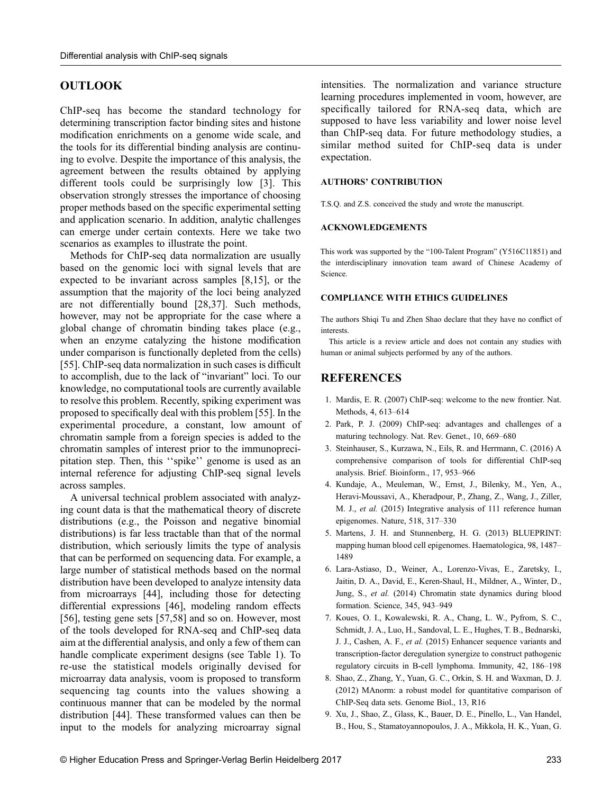### <span id="page-7-0"></span>**OUTLOOK**

ChIP-seq has become the standard technology for determining transcription factor binding sites and histone modification enrichments on a genome wide scale, and the tools for its differential binding analysis are continuing to evolve. Despite the importance of this analysis, the agreement between the results obtained by applying different tools could be surprisingly low [3]. This observation strongly stresses the importance of choosing proper methods based on the specific experimental setting and application scenario. In addition, analytic challenges can emerge under certain contexts. Here we take two scenarios as examples to illustrate the point.

Methods for ChIP-seq data normalization are usually based on the genomic loci with signal levels that are expected to be invariant across samples [8[,15\]](#page-8-0), or the assumption that the majority of the loci being analyzed are not differentially bound [[28](#page-8-0),[37](#page-8-0)]. Such methods, however, may not be appropriate for the case where a global change of chromatin binding takes place (e.g., when an enzyme catalyzing the histone modification under comparison is functionally depleted from the cells) [[55](#page-9-0)]. ChIP-seq data normalization in such cases is difficult to accomplish, due to the lack of "invariant" loci. To our knowledge, no computational tools are currently available to resolve this problem. Recently, spiking experiment was proposed to specifically deal with this problem [[55](#page-9-0)]. In the experimental procedure, a constant, low amount of chromatin sample from a foreign species is added to the chromatin samples of interest prior to the immunoprecipitation step. Then, this ''spike'' genome is used as an internal reference for adjusting ChIP-seq signal levels across samples.

A universal technical problem associated with analyzing count data is that the mathematical theory of discrete distributions (e.g., the Poisson and negative binomial distributions) is far less tractable than that of the normal distribution, which seriously limits the type of analysis that can be performed on sequencing data. For example, a large number of statistical methods based on the normal distribution have been developed to analyze intensity data from microarrays [[44](#page-9-0)], including those for detecting differential expressions [\[46\]](#page-9-0), modeling random effects [[56](#page-9-0)], testing gene sets [[57](#page-9-0),[58](#page-9-0)] and so on. However, most of the tools developed for RNA-seq and ChIP-seq data aim at the differential analysis, and only a few of them can handle complicate experiment designs (see Table 1). To re-use the statistical models originally devised for microarray data analysis, voom is proposed to transform sequencing tag counts into the values showing a continuous manner that can be modeled by the normal distribution [[44\]](#page-9-0). These transformed values can then be input to the models for analyzing microarray signal

intensities. The normalization and variance structure learning procedures implemented in voom, however, are specifically tailored for RNA-seq data, which are supposed to have less variability and lower noise level than ChIP-seq data. For future methodology studies, a similar method suited for ChIP-seq data is under expectation.

#### AUTHORS' CONTRIBUTION

T.S.Q. and Z.S. conceived the study and wrote the manuscript.

#### ACKNOWLEDGEMENTS

This work was supported by the "100-Talent Program" (Y516C11851) and the interdisciplinary innovation team award of Chinese Academy of Science.

#### COMPLIANCE WITH ETHICS GUIDELINES

The authors Shiqi Tu and Zhen Shao declare that they have no conflict of interests.

This article is a review article and does not contain any studies with human or animal subjects performed by any of the authors.

#### **REFERENCES**

- [1. Mardis, E. R. \(2007\) ChIP-seq: welcome to the new frontier. Nat.](http://dx.doi.org/10.1007/s40484-017-0111-8) [Methods, 4, 613](http://dx.doi.org/10.1007/s40484-017-0111-8)–[614](http://dx.doi.org/10.1007/s40484-017-0111-8)
- [2. Park, P. J. \(2009\) ChIP-seq: advantages and challenges of a](http://dx.doi.org/10.1038/nmeth0807-613) [maturing technology. Nat. Rev. Genet., 10, 669](http://dx.doi.org/10.1038/nmeth0807-613)–[680](http://dx.doi.org/10.1038/nmeth0807-613)
- 3. Steinhauser, S., Kurzawa, N., Eils, R. and Herrmann, C. (2016) A comprehensive comparison of tools for differential ChIP-seq analysis. Brief. Bioinform., 17, 953–966
- [4. Kundaje, A., Meuleman, W., Ernst, J., Bilenky, M., Yen, A.,](http://dx.doi.org/10.1038/nrg2641) [Heravi-Moussavi, A., Kheradpour, P., Zhang, Z., Wang, J., Ziller,](http://dx.doi.org/10.1038/nrg2641) M. J., et al. [\(2015\) Integrative analysis of 111 reference human](http://dx.doi.org/10.1038/nrg2641) [epigenomes. Nature, 518, 317](http://dx.doi.org/10.1038/nrg2641)–[330](http://dx.doi.org/10.1038/nrg2641)
- [5. Martens, J. H. and Stunnenberg, H. G. \(2013\) BLUEPRINT:](http://dx.doi.org/10.1038/nature14248) [mapping human blood cell epigenomes. Haematologica, 98, 1487](http://dx.doi.org/10.1038/nature14248)– [1489](http://dx.doi.org/10.1038/nature14248)
- [6. Lara-Astiaso, D., Weiner, A., Lorenzo-Vivas, E., Zaretsky, I.,](http://dx.doi.org/10.3324/haematol.2013.094243) [Jaitin, D. A., David, E., Keren-Shaul, H., Mildner, A., Winter, D.,](http://dx.doi.org/10.3324/haematol.2013.094243) Jung, S., et al. [\(2014\) Chromatin state dynamics during blood](http://dx.doi.org/10.3324/haematol.2013.094243) [formation. Science, 345, 943](http://dx.doi.org/10.3324/haematol.2013.094243)–[949](http://dx.doi.org/10.3324/haematol.2013.094243)
- [7. Koues, O. I., Kowalewski, R. A., Chang, L. W., Pyfrom, S. C.,](http://dx.doi.org/10.1126/science.1256271) [Schmidt, J. A., Luo, H., Sandoval, L. E., Hughes, T. B., Bednarski,](http://dx.doi.org/10.1126/science.1256271) J. J., Cashen, A. F., et al. [\(2015\) Enhancer sequence variants and](http://dx.doi.org/10.1126/science.1256271) [transcription-factor deregulation synergize to construct pathogenic](http://dx.doi.org/10.1126/science.1256271) [regulatory circuits in B-cell lymphoma. Immunity, 42, 186](http://dx.doi.org/10.1126/science.1256271)–[198](http://dx.doi.org/10.1126/science.1256271)
- [8. Shao, Z., Zhang, Y., Yuan, G. C., Orkin, S. H. and Waxman, D. J.](http://dx.doi.org/10.1016/j.immuni.2014.12.021) [\(2012\) MAnorm: a robust model for quantitative comparison of](http://dx.doi.org/10.1016/j.immuni.2014.12.021) [ChIP-Seq data sets. Genome Biol., 13, R16](http://dx.doi.org/10.1016/j.immuni.2014.12.021)
- [9. Xu, J., Shao, Z., Glass, K., Bauer, D. E., Pinello, L., Van Handel,](http://dx.doi.org/10.1186/gb-2012-13-3-r16) [B., Hou, S., Stamatoyannopoulos, J. A., Mikkola, H. K., Yuan, G.](http://dx.doi.org/10.1186/gb-2012-13-3-r16)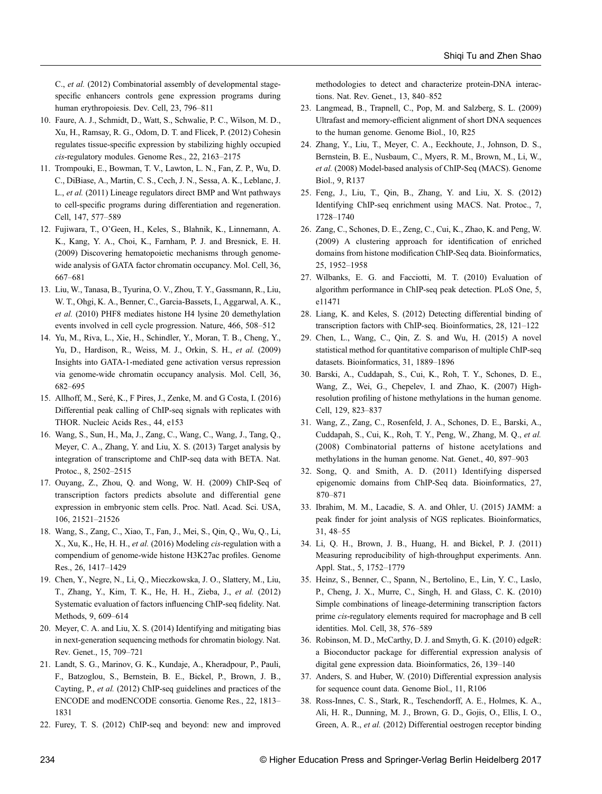<span id="page-8-0"></span>C., et al. [\(2012\) Combinatorial assembly of developmental stage](http://dx.doi.org/10.1186/gb-2012-13-3-r16)specifi[c enhancers controls gene expression programs during](http://dx.doi.org/10.1186/gb-2012-13-3-r16) [human erythropoiesis. Dev. Cell, 23, 796](http://dx.doi.org/10.1186/gb-2012-13-3-r16)–[811](http://dx.doi.org/10.1186/gb-2012-13-3-r16)

- [10. Faure, A. J., Schmidt, D., Watt, S., Schwalie, P. C., Wilson, M. D.,](http://dx.doi.org/10.1016/j.devcel.2012.09.003) [Xu, H., Ramsay, R. G., Odom, D. T. and Flicek, P. \(2012\) Cohesin](http://dx.doi.org/10.1016/j.devcel.2012.09.003) regulates tissue-specifi[c expression by stabilizing highly occupied](http://dx.doi.org/10.1016/j.devcel.2012.09.003) cis[-regulatory modules. Genome Res., 22, 2163](http://dx.doi.org/10.1016/j.devcel.2012.09.003)–[2175](http://dx.doi.org/10.1016/j.devcel.2012.09.003)
- [11. Trompouki, E., Bowman, T. V., Lawton, L. N., Fan, Z. P., Wu, D.](http://dx.doi.org/10.1101/gr.136507.111) [C., DiBiase, A., Martin, C. S., Cech, J. N., Sessa, A. K., Leblanc, J.](http://dx.doi.org/10.1101/gr.136507.111) L., et al. [\(2011\) Lineage regulators direct BMP and Wnt pathways](http://dx.doi.org/10.1101/gr.136507.111) to cell-specifi[c programs during differentiation and regeneration.](http://dx.doi.org/10.1101/gr.136507.111) [Cell, 147, 577](http://dx.doi.org/10.1101/gr.136507.111)–[589](http://dx.doi.org/10.1101/gr.136507.111)
- 12. Fujiwara, T., O'[Geen, H., Keles, S., Blahnik, K., Linnemann, A.](http://dx.doi.org/10.1016/j.cell.2011.09.044) [K., Kang, Y. A., Choi, K., Farnham, P. J. and Bresnick, E. H.](http://dx.doi.org/10.1016/j.cell.2011.09.044) [\(2009\) Discovering hematopoietic mechanisms through genome](http://dx.doi.org/10.1016/j.cell.2011.09.044)[wide analysis of GATA factor chromatin occupancy. Mol. Cell, 36,](http://dx.doi.org/10.1016/j.cell.2011.09.044) [667](http://dx.doi.org/10.1016/j.cell.2011.09.044)–[681](http://dx.doi.org/10.1016/j.cell.2011.09.044)
- [13. Liu, W., Tanasa, B., Tyurina, O. V., Zhou, T. Y., Gassmann, R., Liu,](http://dx.doi.org/10.1016/j.molcel.2009.11.001) [W. T., Ohgi, K. A., Benner, C., Garcia-Bassets, I., Aggarwal, A. K.,](http://dx.doi.org/10.1016/j.molcel.2009.11.001) et al. [\(2010\) PHF8 mediates histone H4 lysine 20 demethylation](http://dx.doi.org/10.1016/j.molcel.2009.11.001) [events involved in cell cycle progression. Nature, 466, 508](http://dx.doi.org/10.1016/j.molcel.2009.11.001)–[512](http://dx.doi.org/10.1016/j.molcel.2009.11.001)
- [14. Yu, M., Riva, L., Xie, H., Schindler, Y., Moran, T. B., Cheng, Y.,](http://dx.doi.org/10.1038/nature09272) [Yu, D., Hardison, R., Weiss, M. J., Orkin, S. H.,](http://dx.doi.org/10.1038/nature09272) et al. (2009) [Insights into GATA-1-mediated gene activation versus repression](http://dx.doi.org/10.1038/nature09272) [via genome-wide chromatin occupancy analysis. Mol. Cell, 36,](http://dx.doi.org/10.1038/nature09272) [682](http://dx.doi.org/10.1038/nature09272)–[695](http://dx.doi.org/10.1038/nature09272)
- 15. Allhoff, M., Seré, K., F Pires, J., Zenke, M. and G Costa, I. (2016) Differential peak calling of ChIP-seq signals with replicates with THOR. Nucleic Acids Res., 44, e153
- [16. Wang, S., Sun, H., Ma, J., Zang, C., Wang, C., Wang, J., Tang, Q.,](http://dx.doi.org/10.1016/j.molcel.2009.11.002) [Meyer, C. A., Zhang, Y. and Liu, X. S. \(2013\) Target analysis by](http://dx.doi.org/10.1016/j.molcel.2009.11.002) [integration of transcriptome and ChIP-seq data with BETA. Nat.](http://dx.doi.org/10.1016/j.molcel.2009.11.002) [Protoc., 8, 2502](http://dx.doi.org/10.1016/j.molcel.2009.11.002)–[2515](http://dx.doi.org/10.1016/j.molcel.2009.11.002)
- [17. Ouyang, Z., Zhou, Q. and Wong, W. H. \(2009\) ChIP-Seq of](http://dx.doi.org/10.1038/nprot.2013.150) [transcription factors predicts absolute and differential gene](http://dx.doi.org/10.1038/nprot.2013.150) [expression in embryonic stem cells. Proc. Natl. Acad. Sci. USA,](http://dx.doi.org/10.1038/nprot.2013.150) [106, 21521](http://dx.doi.org/10.1038/nprot.2013.150)–[21526](http://dx.doi.org/10.1038/nprot.2013.150)
- [18. Wang, S., Zang, C., Xiao, T., Fan, J., Mei, S., Qin, Q., Wu, Q., Li,](http://dx.doi.org/10.1073/pnas.0904863106) [X., Xu, K., He, H. H.,](http://dx.doi.org/10.1073/pnas.0904863106) et al. (2016) Modeling cis-regulation with a [compendium of genome-wide histone H3K27ac pro](http://dx.doi.org/10.1073/pnas.0904863106)files. Genome [Res., 26, 1417](http://dx.doi.org/10.1073/pnas.0904863106)–[1429](http://dx.doi.org/10.1073/pnas.0904863106)
- [19. Chen, Y., Negre, N., Li, Q., Mieczkowska, J. O., Slattery, M., Liu,](http://dx.doi.org/10.1101/gr.201574.115) [T., Zhang, Y., Kim, T. K., He, H. H., Zieba, J.,](http://dx.doi.org/10.1101/gr.201574.115) et al. (2012) [Systematic evaluation of factors in](http://dx.doi.org/10.1101/gr.201574.115)fluencing ChIP-seq fidelity. Nat. [Methods, 9, 609](http://dx.doi.org/10.1101/gr.201574.115)–[614](http://dx.doi.org/10.1101/gr.201574.115)
- [20. Meyer, C. A. and Liu, X. S. \(2014\) Identifying and mitigating bias](http://dx.doi.org/10.1038/nmeth.1985) [in next-generation sequencing methods for chromatin biology. Nat.](http://dx.doi.org/10.1038/nmeth.1985) [Rev. Genet., 15, 709](http://dx.doi.org/10.1038/nmeth.1985)–[721](http://dx.doi.org/10.1038/nmeth.1985)
- [21. Landt, S. G., Marinov, G. K., Kundaje, A., Kheradpour, P., Pauli,](http://dx.doi.org/10.1038/nrg3788) [F., Batzoglou, S., Bernstein, B. E., Bickel, P., Brown, J. B.,](http://dx.doi.org/10.1038/nrg3788) Cayting, P., et al. [\(2012\) ChIP-seq guidelines and practices of the](http://dx.doi.org/10.1038/nrg3788) [ENCODE and modENCODE consortia. Genome Res., 22, 1813](http://dx.doi.org/10.1038/nrg3788)– [1831](http://dx.doi.org/10.1038/nrg3788)
- [22. Furey, T. S. \(2012\) ChIP-seq and beyond: new and improved](http://dx.doi.org/10.1101/gr.136184.111)

[methodologies to detect and characterize protein-DNA interac](http://dx.doi.org/10.1101/gr.136184.111)[tions. Nat. Rev. Genet., 13, 840](http://dx.doi.org/10.1101/gr.136184.111)–[852](http://dx.doi.org/10.1101/gr.136184.111)

- [23. Langmead, B., Trapnell, C., Pop, M. and Salzberg, S. L. \(2009\)](http://dx.doi.org/10.1038/nrg3306) Ultrafast and memory-effi[cient alignment of short DNA sequences](http://dx.doi.org/10.1038/nrg3306) [to the human genome. Genome Biol., 10, R25](http://dx.doi.org/10.1038/nrg3306)
- [24. Zhang, Y., Liu, T., Meyer, C. A., Eeckhoute, J., Johnson, D. S.,](http://dx.doi.org/10.1186/gb-2009-10-3-r25) [Bernstein, B. E., Nusbaum, C., Myers, R. M., Brown, M., Li, W.,](http://dx.doi.org/10.1186/gb-2009-10-3-r25) et al. [\(2008\) Model-based analysis of ChIP-Seq \(MACS\). Genome](http://dx.doi.org/10.1186/gb-2009-10-3-r25) [Biol., 9, R137](http://dx.doi.org/10.1186/gb-2009-10-3-r25)
- [25. Feng, J., Liu, T., Qin, B., Zhang, Y. and Liu, X. S. \(2012\)](http://dx.doi.org/10.1186/gb-2008-9-9-r137) [Identifying ChIP-seq enrichment using MACS. Nat. Protoc., 7,](http://dx.doi.org/10.1186/gb-2008-9-9-r137) [1728](http://dx.doi.org/10.1186/gb-2008-9-9-r137)–[1740](http://dx.doi.org/10.1186/gb-2008-9-9-r137)
- [26. Zang, C., Schones, D. E., Zeng, C., Cui, K., Zhao, K. and Peng, W.](http://dx.doi.org/10.1038/nprot.2012.101) [\(2009\) A clustering approach for identi](http://dx.doi.org/10.1038/nprot.2012.101)fication of enriched domains from histone modifi[cation ChIP-Seq data. Bioinformatics,](http://dx.doi.org/10.1038/nprot.2012.101) [25, 1952](http://dx.doi.org/10.1038/nprot.2012.101)–[1958](http://dx.doi.org/10.1038/nprot.2012.101)
- [27. Wilbanks, E. G. and Facciotti, M. T. \(2010\) Evaluation of](http://dx.doi.org/10.1093/bioinformatics/btp340) [algorithm performance in ChIP-seq peak detection. PLoS One, 5,](http://dx.doi.org/10.1093/bioinformatics/btp340) [e11471](http://dx.doi.org/10.1093/bioinformatics/btp340)
- [28. Liang, K. and Keles, S. \(2012\) Detecting differential binding of](http://dx.doi.org/10.1371/journal.pone.0011471) [transcription factors with ChIP-seq. Bioinformatics, 28, 121](http://dx.doi.org/10.1371/journal.pone.0011471)–[122](http://dx.doi.org/10.1371/journal.pone.0011471)
- [29. Chen, L., Wang, C., Qin, Z. S. and Wu, H. \(2015\) A novel](http://dx.doi.org/10.1093/bioinformatics/btr605) [statistical method for quantitative comparison of multiple ChIP-seq](http://dx.doi.org/10.1093/bioinformatics/btr605) [datasets. Bioinformatics, 31, 1889](http://dx.doi.org/10.1093/bioinformatics/btr605)–[1896](http://dx.doi.org/10.1093/bioinformatics/btr605)
- [30. Barski, A., Cuddapah, S., Cui, K., Roh, T. Y., Schones, D. E.,](http://dx.doi.org/10.1093/bioinformatics/btv094) [Wang, Z., Wei, G., Chepelev, I. and Zhao, K. \(2007\) High](http://dx.doi.org/10.1093/bioinformatics/btv094)resolution profi[ling of histone methylations in the human genome.](http://dx.doi.org/10.1093/bioinformatics/btv094) [Cell, 129, 823](http://dx.doi.org/10.1093/bioinformatics/btv094)–[837](http://dx.doi.org/10.1093/bioinformatics/btv094)
- [31. Wang, Z., Zang, C., Rosenfeld, J. A., Schones, D. E., Barski, A.,](http://dx.doi.org/10.1016/j.cell.2007.05.009) [Cuddapah, S., Cui, K., Roh, T. Y., Peng, W., Zhang, M. Q.,](http://dx.doi.org/10.1016/j.cell.2007.05.009) et al. [\(2008\) Combinatorial patterns of histone acetylations and](http://dx.doi.org/10.1016/j.cell.2007.05.009) [methylations in the human genome. Nat. Genet., 40, 897](http://dx.doi.org/10.1016/j.cell.2007.05.009)–[903](http://dx.doi.org/10.1016/j.cell.2007.05.009)
- [32. Song, Q. and Smith, A. D. \(2011\) Identifying dispersed](http://dx.doi.org/10.1038/ng.154) [epigenomic domains from ChIP-Seq data. Bioinformatics, 27,](http://dx.doi.org/10.1038/ng.154) [870](http://dx.doi.org/10.1038/ng.154)–[871](http://dx.doi.org/10.1038/ng.154)
- [33. Ibrahim, M. M., Lacadie, S. A. and Ohler, U. \(2015\) JAMM: a](http://dx.doi.org/10.1093/bioinformatics/btr030) peak fi[nder for joint analysis of NGS replicates. Bioinformatics,](http://dx.doi.org/10.1093/bioinformatics/btr030) [31, 48](http://dx.doi.org/10.1093/bioinformatics/btr030)–[55](http://dx.doi.org/10.1093/bioinformatics/btr030)
- [34. Li, Q. H., Brown, J. B., Huang, H. and Bickel, P. J. \(2011\)](http://dx.doi.org/10.1093/bioinformatics/btu568) [Measuring reproducibility of high-throughput experiments. Ann.](http://dx.doi.org/10.1093/bioinformatics/btu568) [Appl. Stat., 5, 1752](http://dx.doi.org/10.1093/bioinformatics/btu568)–[1779](http://dx.doi.org/10.1093/bioinformatics/btu568)
- [35. Heinz, S., Benner, C., Spann, N., Bertolino, E., Lin, Y. C., Laslo,](http://dx.doi.org/10.1214/11-AOAS466) [P., Cheng, J. X., Murre, C., Singh, H. and Glass, C. K. \(2010\)](http://dx.doi.org/10.1214/11-AOAS466) [Simple combinations of lineage-determining transcription factors](http://dx.doi.org/10.1214/11-AOAS466) prime cis[-regulatory elements required for macrophage and B cell](http://dx.doi.org/10.1214/11-AOAS466) [identities. Mol. Cell, 38, 576](http://dx.doi.org/10.1214/11-AOAS466)–[589](http://dx.doi.org/10.1214/11-AOAS466)
- [36. Robinson, M. D., McCarthy, D. J. and Smyth, G. K. \(2010\) edgeR:](http://dx.doi.org/10.1016/j.molcel.2010.05.004) [a Bioconductor package for differential expression analysis of](http://dx.doi.org/10.1016/j.molcel.2010.05.004) [digital gene expression data. Bioinformatics, 26, 139](http://dx.doi.org/10.1016/j.molcel.2010.05.004)–[140](http://dx.doi.org/10.1016/j.molcel.2010.05.004)
- [37. Anders, S. and Huber, W. \(2010\) Differential expression analysis](http://dx.doi.org/10.1093/bioinformatics/btp616) [for sequence count data. Genome Biol., 11, R106](http://dx.doi.org/10.1093/bioinformatics/btp616)
- 38. Ross-Innes, C. S., Stark, R., Teschendorff, A. E., Holmes, K. A., Ali, H. R., Dunning, M. J., Brown, G. D., Gojis, O., Ellis, I. O., Green, A. R., et al. (2012) Differential oestrogen receptor binding